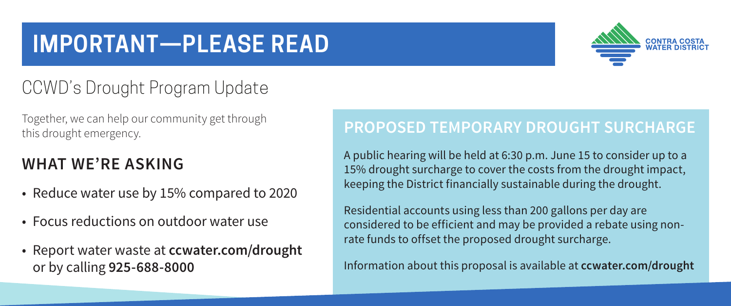# **IMPORTANT—PLEASE READ**



## CCWD's Drought Program Update

Together, we can help our community get through this drought emergency.

#### **WHAT WE'RE ASKING**

- Reduce water use by 15% compared to 2020
- Focus reductions on outdoor water use
- Report water waste at **ccwater.com/drought** or by calling **925-688-8000**

#### **PROPOSED TEMPORARY DROUGHT SURCHARGE**

A public hearing will be held at 6:30 p.m. June 15 to consider up to a 15% drought surcharge to cover the costs from the drought impact, keeping the District financially sustainable during the drought.

Residential accounts using less than 200 gallons per day are considered to be efficient and may be provided a rebate using nonrate funds to offset the proposed drought surcharge.

Information about this proposal is available at **ccwater.com/drought**